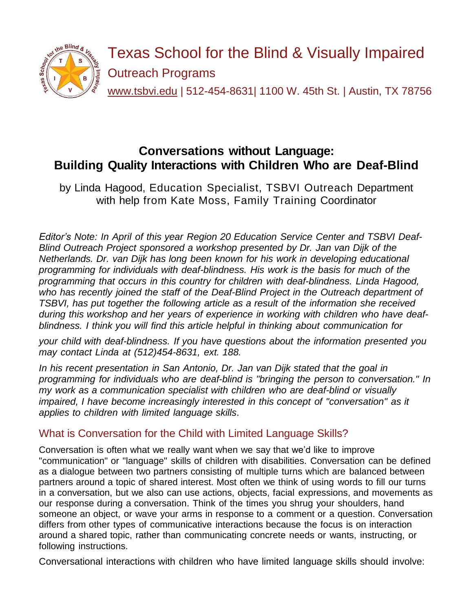

# **Conversations without Language: Building Quality Interactions with Children Who are Deaf-Blind**

by Linda Hagood, Education Specialist, TSBVI Outreach Department with help from Kate Moss, Family Training Coordinator

*Editor's Note: In April of this year Region 20 Education Service Center and TSBVI Deaf-Blind Outreach Project sponsored a workshop presented by Dr. Jan van Dijk of the Netherlands. Dr. van Dijk has long been known for his work in developing educational programming for individuals with deaf-blindness. His work is the basis for much of the programming that occurs in this country for children with deaf-blindness. Linda Hagood, who has recently joined the staff of the Deaf-Blind Project in the Outreach department of TSBVI, has put together the following article as a result of the information she received during this workshop and her years of experience in working with children who have deafblindness. I think you will find this article helpful in thinking about communication for*

*your child with deaf-blindness. If you have questions about the information presented you may contact Linda at (512)454-8631, ext. 188.*

*In his recent presentation in San Antonio, Dr. Jan van Dijk stated that the goal in programming for individuals who are deaf-blind is "bringing the person to conversation." In my work as a communication specialist with children who are deaf-blind or visually impaired, I have become increasingly interested in this concept of "conversation" as it applies to children with limited language skills*.

# What is Conversation for the Child with Limited Language Skills?

Conversation is often what we really want when we say that we'd like to improve "communication" or "language" skills of children with disabilities. Conversation can be defined as a dialogue between two partners consisting of multiple turns which are balanced between partners around a topic of shared interest. Most often we think of using words to fill our turns in a conversation, but we also can use actions, objects, facial expressions, and movements as our response during a conversation. Think of the times you shrug your shoulders, hand someone an object, or wave your arms in response to a comment or a question. Conversation differs from other types of communicative interactions because the focus is on interaction around a shared topic, rather than communicating concrete needs or wants, instructing, or following instructions.

Conversational interactions with children who have limited language skills should involve: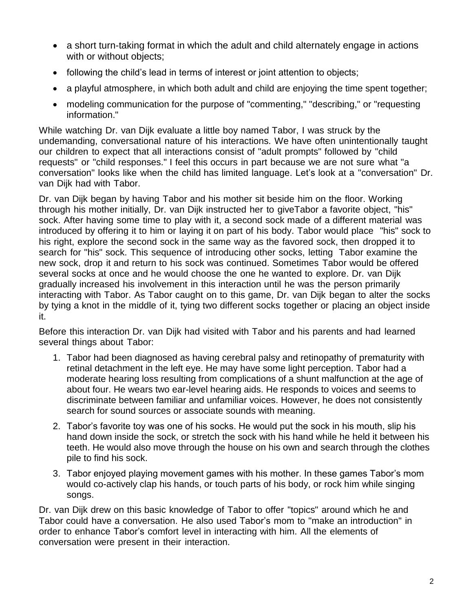- a short turn-taking format in which the adult and child alternately engage in actions with or without objects;
- following the child's lead in terms of interest or joint attention to objects;
- a playful atmosphere, in which both adult and child are enjoying the time spent together;
- modeling communication for the purpose of "commenting," "describing," or "requesting information."

While watching Dr. van Dijk evaluate a little boy named Tabor, I was struck by the undemanding, conversational nature of his interactions. We have often unintentionally taught our children to expect that all interactions consist of "adult prompts" followed by "child requests" or "child responses." I feel this occurs in part because we are not sure what "a conversation" looks like when the child has limited language. Let's look at a "conversation" Dr. van Dijk had with Tabor.

Dr. van Dijk began by having Tabor and his mother sit beside him on the floor. Working through his mother initially, Dr. van Dijk instructed her to giveTabor a favorite object, "his" sock. After having some time to play with it, a second sock made of a different material was introduced by offering it to him or laying it on part of his body. Tabor would place "his" sock to his right, explore the second sock in the same way as the favored sock, then dropped it to search for "his" sock. This sequence of introducing other socks, letting Tabor examine the new sock, drop it and return to his sock was continued. Sometimes Tabor would be offered several socks at once and he would choose the one he wanted to explore. Dr. van Dijk gradually increased his involvement in this interaction until he was the person primarily interacting with Tabor. As Tabor caught on to this game, Dr. van Dijk began to alter the socks by tying a knot in the middle of it, tying two different socks together or placing an object inside it.

Before this interaction Dr. van Dijk had visited with Tabor and his parents and had learned several things about Tabor:

- 1. Tabor had been diagnosed as having cerebral palsy and retinopathy of prematurity with retinal detachment in the left eye. He may have some light perception. Tabor had a moderate hearing loss resulting from complications of a shunt malfunction at the age of about four. He wears two ear-level hearing aids. He responds to voices and seems to discriminate between familiar and unfamiliar voices. However, he does not consistently search for sound sources or associate sounds with meaning.
- 2. Tabor's favorite toy was one of his socks. He would put the sock in his mouth, slip his hand down inside the sock, or stretch the sock with his hand while he held it between his teeth. He would also move through the house on his own and search through the clothes pile to find his sock.
- 3. Tabor enjoyed playing movement games with his mother. In these games Tabor's mom would co-actively clap his hands, or touch parts of his body, or rock him while singing songs.

Dr. van Dijk drew on this basic knowledge of Tabor to offer "topics" around which he and Tabor could have a conversation. He also used Tabor's mom to "make an introduction" in order to enhance Tabor's comfort level in interacting with him. All the elements of conversation were present in their interaction.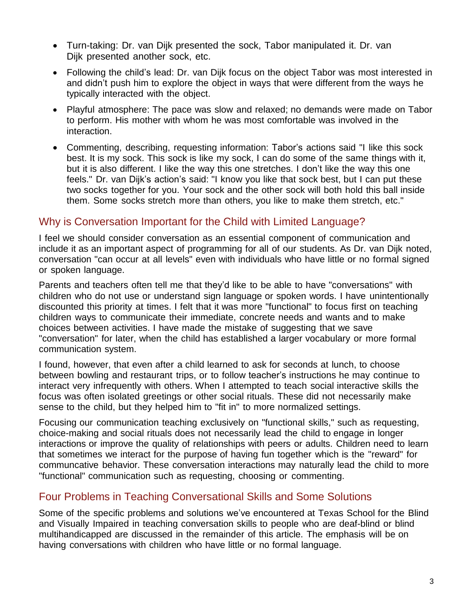- Turn-taking: Dr. van Dijk presented the sock, Tabor manipulated it. Dr. van Dijk presented another sock, etc.
- Following the child's lead: Dr. van Dijk focus on the object Tabor was most interested in and didn't push him to explore the object in ways that were different from the ways he typically interacted with the object.
- Playful atmosphere: The pace was slow and relaxed; no demands were made on Tabor to perform. His mother with whom he was most comfortable was involved in the interaction.
- Commenting, describing, requesting information: Tabor's actions said "I like this sock best. It is my sock. This sock is like my sock, I can do some of the same things with it, but it is also different. I like the way this one stretches. I don't like the way this one feels." Dr. van Dijk's action's said: "I know you like that sock best, but I can put these two socks together for you. Your sock and the other sock will both hold this ball inside them. Some socks stretch more than others, you like to make them stretch, etc."

# Why is Conversation Important for the Child with Limited Language?

I feel we should consider conversation as an essential component of communication and include it as an important aspect of programming for all of our students. As Dr. van Dijk noted, conversation "can occur at all levels" even with individuals who have little or no formal signed or spoken language.

Parents and teachers often tell me that they'd like to be able to have "conversations" with children who do not use or understand sign language or spoken words. I have unintentionally discounted this priority at times. I felt that it was more "functional" to focus first on teaching children ways to communicate their immediate, concrete needs and wants and to make choices between activities. I have made the mistake of suggesting that we save "conversation" for later, when the child has established a larger vocabulary or more formal communication system.

I found, however, that even after a child learned to ask for seconds at lunch, to choose between bowling and restaurant trips, or to follow teacher's instructions he may continue to interact very infrequently with others. When I attempted to teach social interactive skills the focus was often isolated greetings or other social rituals. These did not necessarily make sense to the child, but they helped him to "fit in" to more normalized settings.

Focusing our communication teaching exclusively on "functional skills," such as requesting, choice-making and social rituals does not necessarily lead the child to engage in longer interactions or improve the quality of relationships with peers or adults. Children need to learn that sometimes we interact for the purpose of having fun together which is the "reward" for communcative behavior. These conversation interactions may naturally lead the child to more "functional" communication such as requesting, choosing or commenting.

## Four Problems in Teaching Conversational Skills and Some Solutions

Some of the specific problems and solutions we've encountered at Texas School for the Blind and Visually Impaired in teaching conversation skills to people who are deaf-blind or blind multihandicapped are discussed in the remainder of this article. The emphasis will be on having conversations with children who have little or no formal language.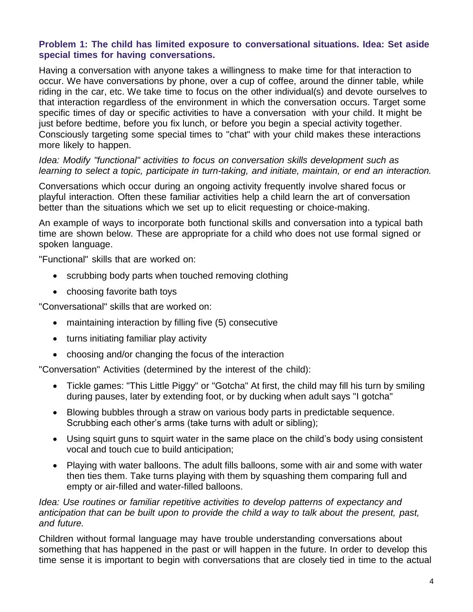#### **Problem 1: The child has limited exposure to conversational situations. Idea: Set aside special times for having conversations.**

Having a conversation with anyone takes a willingness to make time for that interaction to occur. We have conversations by phone, over a cup of coffee, around the dinner table, while riding in the car, etc. We take time to focus on the other individual(s) and devote ourselves to that interaction regardless of the environment in which the conversation occurs. Target some specific times of day or specific activities to have a conversation with your child. It might be just before bedtime, before you fix lunch, or before you begin a special activity together. Consciously targeting some special times to "chat" with your child makes these interactions more likely to happen.

#### *Idea: Modify "functional" activities to focus on conversation skills development such as learning to select a topic, participate in turn-taking, and initiate, maintain, or end an interaction.*

Conversations which occur during an ongoing activity frequently involve shared focus or playful interaction. Often these familiar activities help a child learn the art of conversation better than the situations which we set up to elicit requesting or choice-making.

An example of ways to incorporate both functional skills and conversation into a typical bath time are shown below. These are appropriate for a child who does not use formal signed or spoken language.

"Functional" skills that are worked on:

- scrubbing body parts when touched removing clothing
- choosing favorite bath toys

"Conversational" skills that are worked on:

- maintaining interaction by filling five (5) consecutive
- turns initiating familiar play activity
- choosing and/or changing the focus of the interaction

"Conversation" Activities (determined by the interest of the child):

- Tickle games: "This Little Piggy" or "Gotcha" At first, the child may fill his turn by smiling during pauses, later by extending foot, or by ducking when adult says "I gotcha"
- Blowing bubbles through a straw on various body parts in predictable sequence. Scrubbing each other's arms (take turns with adult or sibling);
- Using squirt guns to squirt water in the same place on the child's body using consistent vocal and touch cue to build anticipation;
- Playing with water balloons. The adult fills balloons, some with air and some with water then ties them. Take turns playing with them by squashing them comparing full and empty or air-filled and water-filled balloons.

*Idea: Use routines or familiar repetitive activities to develop patterns of expectancy and anticipation that can be built upon to provide the child a way to talk about the present, past, and future.*

Children without formal language may have trouble understanding conversations about something that has happened in the past or will happen in the future. In order to develop this time sense it is important to begin with conversations that are closely tied in time to the actual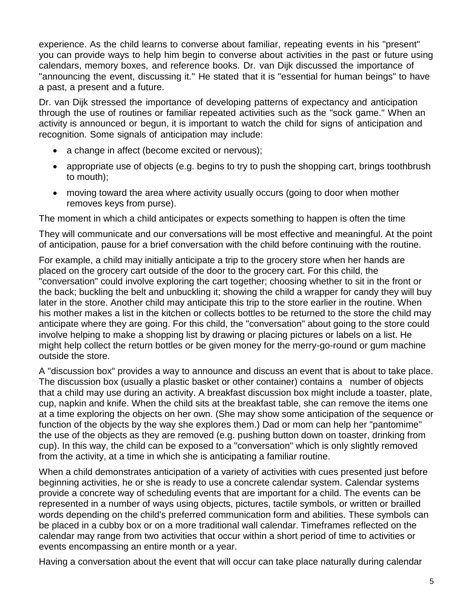experience. As the child learns to converse about familiar, repeating events in his "present" you can provide ways to help him begin to converse about activities in the past or future using calendars, memory boxes, and reference books. Dr. van Dijk discussed the importance of "announcing the event, discussing it." He stated that it is "essential for human beings" to have a past, a present and a future.

Dr. van Dijk stressed the importance of developing patterns of expectancy and anticipation through the use of routines or familiar repeated activities such as the "sock game." When an activity is announced or begun, it is important to watch the child for signs of anticipation and recognition. Some signals of anticipation may include:

- a change in affect (become excited or nervous);
- appropriate use of objects (e.g. begins to try to push the shopping cart, brings toothbrush to mouth);
- moving toward the area where activity usually occurs (going to door when mother removes keys from purse).

The moment in which a child anticipates or expects something to happen is often the time

They will communicate and our conversations will be most effective and meaningful. At the point of anticipation, pause for a brief conversation with the child before continuing with the routine.

For example, a child may initially anticipate a trip to the grocery store when her hands are placed on the grocery cart outside of the door to the grocery cart. For this child, the "conversation" could involve exploring the cart together; choosing whether to sit in the front or the back; buckling the belt and unbuckling it; showing the child a wrapper for candy they will buy later in the store. Another child may anticipate this trip to the store earlier in the routine. When his mother makes a list in the kitchen or collects bottles to be returned to the store the child may anticipate where they are going. For this child, the "conversation" about going to the store could involve helping to make a shopping list by drawing or placing pictures or labels on a list. He might help collect the return bottles or be given money for the merry-go-round or gum machine outside the store.

A "discussion box" provides a way to announce and discuss an event that is about to take place. The discussion box (usually a plastic basket or other container) contains a number of objects that a child may use during an activity. A breakfast discussion box might include a toaster, plate, cup, napkin and knife. When the child sits at the breakfast table, she can remove the items one at a time exploring the objects on her own. (She may show some anticipation of the sequence or function of the objects by the way she explores them.) Dad or mom can help her "pantomime" the use of the objects as they are removed (e.g. pushing button down on toaster, drinking from cup). In this way, the child can be exposed to a "conversation" which is only slightly removed from the activity, at a time in which she is anticipating a familiar routine.

When a child demonstrates anticipation of a variety of activities with cues presented just before beginning activities, he or she is ready to use a concrete calendar system. Calendar systems provide a concrete way of scheduling events that are important for a child. The events can be represented in a number of ways using objects, pictures, tactile symbols, or written or brailled words depending on the child's preferred communication form and abilities. These symbols can be placed in a cubby box or on a more traditional wall calendar. Timeframes reflected on the calendar may range from two activities that occur within a short period of time to activities or events encompassing an entire month or a year.

Having a conversation about the event that will occur can take place naturally during calendar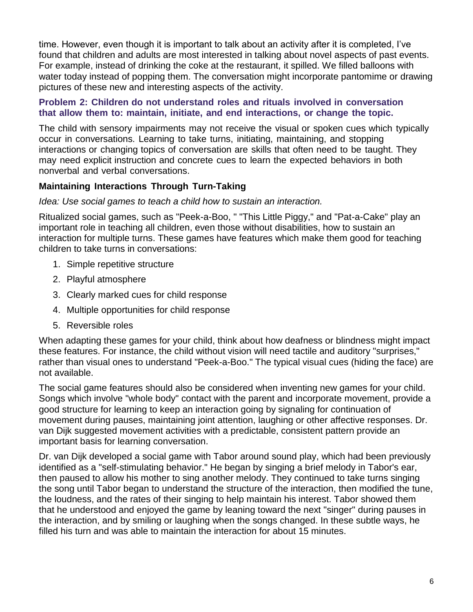time. However, even though it is important to talk about an activity after it is completed, I've found that children and adults are most interested in talking about novel aspects of past events. For example, instead of drinking the coke at the restaurant, it spilled. We filled balloons with water today instead of popping them. The conversation might incorporate pantomime or drawing pictures of these new and interesting aspects of the activity.

#### **Problem 2: Children do not understand roles and rituals involved in conversation that allow them to: maintain, initiate, and end interactions, or change the topic.**

The child with sensory impairments may not receive the visual or spoken cues which typically occur in conversations. Learning to take turns, initiating, maintaining, and stopping interactions or changing topics of conversation are skills that often need to be taught. They may need explicit instruction and concrete cues to learn the expected behaviors in both nonverbal and verbal conversations.

## **Maintaining Interactions Through Turn-Taking**

#### *Idea: Use social games to teach a child how to sustain an interaction.*

Ritualized social games, such as "Peek-a-Boo, " "This Little Piggy," and "Pat-a-Cake" play an important role in teaching all children, even those without disabilities, how to sustain an interaction for multiple turns. These games have features which make them good for teaching children to take turns in conversations:

- 1. Simple repetitive structure
- 2. Playful atmosphere
- 3. Clearly marked cues for child response
- 4. Multiple opportunities for child response
- 5. Reversible roles

When adapting these games for your child, think about how deafness or blindness might impact these features. For instance, the child without vision will need tactile and auditory "surprises," rather than visual ones to understand "Peek-a-Boo." The typical visual cues (hiding the face) are not available.

The social game features should also be considered when inventing new games for your child. Songs which involve "whole body" contact with the parent and incorporate movement, provide a good structure for learning to keep an interaction going by signaling for continuation of movement during pauses, maintaining joint attention, laughing or other affective responses. Dr. van Dijk suggested movement activities with a predictable, consistent pattern provide an important basis for learning conversation.

Dr. van Dijk developed a social game with Tabor around sound play, which had been previously identified as a "self-stimulating behavior." He began by singing a brief melody in Tabor's ear, then paused to allow his mother to sing another melody. They continued to take turns singing the song until Tabor began to understand the structure of the interaction, then modified the tune, the loudness, and the rates of their singing to help maintain his interest. Tabor showed them that he understood and enjoyed the game by leaning toward the next "singer" during pauses in the interaction, and by smiling or laughing when the songs changed. In these subtle ways, he filled his turn and was able to maintain the interaction for about 15 minutes.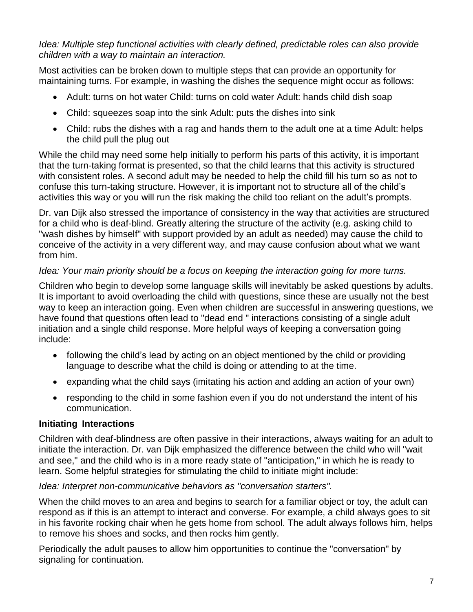*Idea: Multiple step functional activities with clearly defined, predictable roles can also provide children with a way to maintain an interaction.*

Most activities can be broken down to multiple steps that can provide an opportunity for maintaining turns. For example, in washing the dishes the sequence might occur as follows:

- Adult: turns on hot water Child: turns on cold water Adult: hands child dish soap
- Child: squeezes soap into the sink Adult: puts the dishes into sink
- Child: rubs the dishes with a rag and hands them to the adult one at a time Adult: helps the child pull the plug out

While the child may need some help initially to perform his parts of this activity, it is important that the turn-taking format is presented, so that the child learns that this activity is structured with consistent roles. A second adult may be needed to help the child fill his turn so as not to confuse this turn-taking structure. However, it is important not to structure all of the child's activities this way or you will run the risk making the child too reliant on the adult's prompts.

Dr. van Dijk also stressed the importance of consistency in the way that activities are structured for a child who is deaf-blind. Greatly altering the structure of the activity (e.g. asking child to "wash dishes by himself" with support provided by an adult as needed) may cause the child to conceive of the activity in a very different way, and may cause confusion about what we want from him.

## *Idea: Your main priority should be a focus on keeping the interaction going for more turns.*

Children who begin to develop some language skills will inevitably be asked questions by adults. It is important to avoid overloading the child with questions, since these are usually not the best way to keep an interaction going. Even when children are successful in answering questions, we have found that questions often lead to "dead end " interactions consisting of a single adult initiation and a single child response. More helpful ways of keeping a conversation going include:

- following the child's lead by acting on an object mentioned by the child or providing language to describe what the child is doing or attending to at the time.
- expanding what the child says (imitating his action and adding an action of your own)
- responding to the child in some fashion even if you do not understand the intent of his communication.

## **Initiating Interactions**

Children with deaf-blindness are often passive in their interactions, always waiting for an adult to initiate the interaction. Dr. van Dijk emphasized the difference between the child who will "wait and see," and the child who is in a more ready state of "anticipation," in which he is ready to learn. Some helpful strategies for stimulating the child to initiate might include:

## *Idea: Interpret non-communicative behaviors as "conversation starters".*

When the child moves to an area and begins to search for a familiar object or toy, the adult can respond as if this is an attempt to interact and converse. For example, a child always goes to sit in his favorite rocking chair when he gets home from school. The adult always follows him, helps to remove his shoes and socks, and then rocks him gently.

Periodically the adult pauses to allow him opportunities to continue the "conversation" by signaling for continuation.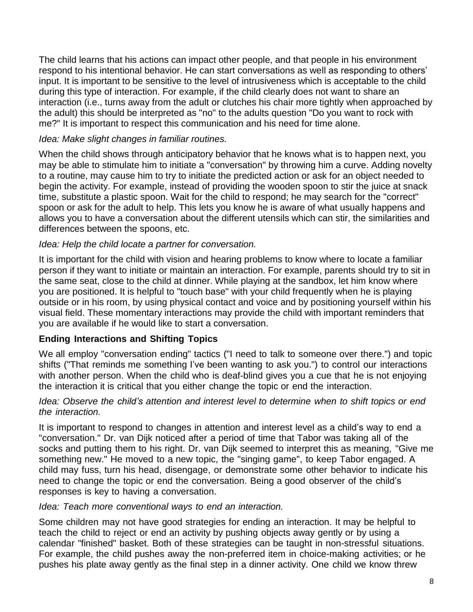The child learns that his actions can impact other people, and that people in his environment respond to his intentional behavior. He can start conversations as well as responding to others' input. It is important to be sensitive to the level of intrusiveness which is acceptable to the child during this type of interaction. For example, if the child clearly does not want to share an interaction (i.e., turns away from the adult or clutches his chair more tightly when approached by the adult) this should be interpreted as "no" to the adults question "Do you want to rock with me?" It is important to respect this communication and his need for time alone.

#### *Idea: Make slight changes in familiar routines.*

When the child shows through anticipatory behavior that he knows what is to happen next, you may be able to stimulate him to initiate a "conversation" by throwing him a curve. Adding novelty to a routine, may cause him to try to initiate the predicted action or ask for an object needed to begin the activity. For example, instead of providing the wooden spoon to stir the juice at snack time, substitute a plastic spoon. Wait for the child to respond; he may search for the "correct" spoon or ask for the adult to help. This lets you know he is aware of what usually happens and allows you to have a conversation about the different utensils which can stir, the similarities and differences between the spoons, etc.

## *Idea: Help the child locate a partner for conversation.*

It is important for the child with vision and hearing problems to know where to locate a familiar person if they want to initiate or maintain an interaction. For example, parents should try to sit in the same seat, close to the child at dinner. While playing at the sandbox, let him know where you are positioned. It is helpful to "touch base" with your child frequently when he is playing outside or in his room, by using physical contact and voice and by positioning yourself within his visual field. These momentary interactions may provide the child with important reminders that you are available if he would like to start a conversation.

## **Ending Interactions and Shifting Topics**

We all employ "conversation ending" tactics ("I need to talk to someone over there.") and topic shifts ("That reminds me something I've been wanting to ask you.") to control our interactions with another person. When the child who is deaf-blind gives you a cue that he is not enjoying the interaction it is critical that you either change the topic or end the interaction.

#### *Idea: Observe the child's attention and interest level to determine when to shift topics or end the interaction.*

It is important to respond to changes in attention and interest level as a child's way to end a "conversation." Dr. van Dijk noticed after a period of time that Tabor was taking all of the socks and putting them to his right. Dr. van Dijk seemed to interpret this as meaning, "Give me something new." He moved to a new topic, the "singing game", to keep Tabor engaged. A child may fuss, turn his head, disengage, or demonstrate some other behavior to indicate his need to change the topic or end the conversation. Being a good observer of the child's responses is key to having a conversation.

#### *Idea: Teach more conventional ways to end an interaction.*

Some children may not have good strategies for ending an interaction. It may be helpful to teach the child to reject or end an activity by pushing objects away gently or by using a calendar "finished" basket. Both of these strategies can be taught in non-stressful situations. For example, the child pushes away the non-preferred item in choice-making activities; or he pushes his plate away gently as the final step in a dinner activity. One child we know threw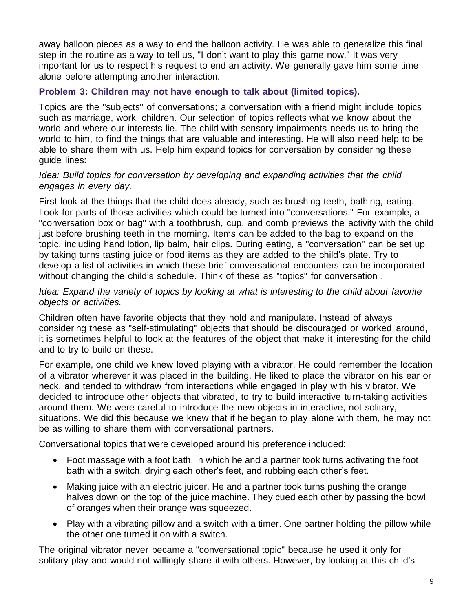away balloon pieces as a way to end the balloon activity. He was able to generalize this final step in the routine as a way to tell us, "I don't want to play this game now." It was very important for us to respect his request to end an activity. We generally gave him some time alone before attempting another interaction.

#### **Problem 3: Children may not have enough to talk about (limited topics).**

Topics are the "subjects" of conversations; a conversation with a friend might include topics such as marriage, work, children. Our selection of topics reflects what we know about the world and where our interests lie. The child with sensory impairments needs us to bring the world to him, to find the things that are valuable and interesting. He will also need help to be able to share them with us. Help him expand topics for conversation by considering these guide lines:

#### *Idea: Build topics for conversation by developing and expanding activities that the child engages in every day.*

First look at the things that the child does already, such as brushing teeth, bathing, eating. Look for parts of those activities which could be turned into "conversations." For example, a "conversation box or bag" with a toothbrush, cup, and comb previews the activity with the child just before brushing teeth in the morning. Items can be added to the bag to expand on the topic, including hand lotion, lip balm, hair clips. During eating, a "conversation" can be set up by taking turns tasting juice or food items as they are added to the child's plate. Try to develop a list of activities in which these brief conversational encounters can be incorporated without changing the child's schedule. Think of these as "topics" for conversation .

#### *Idea: Expand the variety of topics by looking at what is interesting to the child about favorite objects or activities.*

Children often have favorite objects that they hold and manipulate. Instead of always considering these as "self-stimulating" objects that should be discouraged or worked around, it is sometimes helpful to look at the features of the object that make it interesting for the child and to try to build on these.

For example, one child we knew loved playing with a vibrator. He could remember the location of a vibrator wherever it was placed in the building. He liked to place the vibrator on his ear or neck, and tended to withdraw from interactions while engaged in play with his vibrator. We decided to introduce other objects that vibrated, to try to build interactive turn-taking activities around them. We were careful to introduce the new objects in interactive, not solitary, situations. We did this because we knew that if he began to play alone with them, he may not be as willing to share them with conversational partners.

Conversational topics that were developed around his preference included:

- Foot massage with a foot bath, in which he and a partner took turns activating the foot bath with a switch, drying each other's feet, and rubbing each other's feet.
- Making juice with an electric juicer. He and a partner took turns pushing the orange halves down on the top of the juice machine. They cued each other by passing the bowl of oranges when their orange was squeezed.
- Play with a vibrating pillow and a switch with a timer. One partner holding the pillow while the other one turned it on with a switch.

The original vibrator never became a "conversational topic" because he used it only for solitary play and would not willingly share it with others. However, by looking at this child's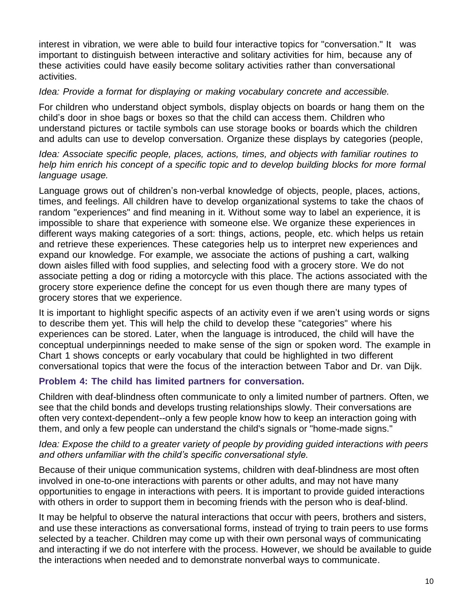interest in vibration, we were able to build four interactive topics for "conversation." It was important to distinguish between interactive and solitary activities for him, because any of these activities could have easily become solitary activities rather than conversational activities.

#### *Idea: Provide a format for displaying or making vocabulary concrete and accessible.*

For children who understand object symbols, display objects on boards or hang them on the child's door in shoe bags or boxes so that the child can access them. Children who understand pictures or tactile symbols can use storage books or boards which the children and adults can use to develop conversation. Organize these displays by categories (people,

*Idea: Associate specific people, places, actions, times, and objects with familiar routines to help him enrich his concept of a specific topic and to develop building blocks for more formal language usage.*

Language grows out of children's non-verbal knowledge of objects, people, places, actions, times, and feelings. All children have to develop organizational systems to take the chaos of random "experiences" and find meaning in it. Without some way to label an experience, it is impossible to share that experience with someone else. We organize these experiences in different ways making categories of a sort: things, actions, people, etc. which helps us retain and retrieve these experiences. These categories help us to interpret new experiences and expand our knowledge. For example, we associate the actions of pushing a cart, walking down aisles filled with food supplies, and selecting food with a grocery store. We do not associate petting a dog or riding a motorcycle with this place. The actions associated with the grocery store experience define the concept for us even though there are many types of grocery stores that we experience.

It is important to highlight specific aspects of an activity even if we aren't using words or signs to describe them yet. This will help the child to develop these "categories" where his experiences can be stored. Later, when the language is introduced, the child will have the conceptual underpinnings needed to make sense of the sign or spoken word. The example in Chart 1 shows concepts or early vocabulary that could be highlighted in two different conversational topics that were the focus of the interaction between Tabor and Dr. van Dijk.

## **Problem 4: The child has limited partners for conversation.**

Children with deaf-blindness often communicate to only a limited number of partners. Often, we see that the child bonds and develops trusting relationships slowly. Their conversations are often very context-dependent--only a few people know how to keep an interaction going with them, and only a few people can understand the child's signals or "home-made signs."

#### *Idea: Expose the child to a greater variety of people by providing guided interactions with peers and others unfamiliar with the child's specific conversational style.*

Because of their unique communication systems, children with deaf-blindness are most often involved in one-to-one interactions with parents or other adults, and may not have many opportunities to engage in interactions with peers. It is important to provide guided interactions with others in order to support them in becoming friends with the person who is deaf-blind.

It may be helpful to observe the natural interactions that occur with peers, brothers and sisters, and use these interactions as conversational forms, instead of trying to train peers to use forms selected by a teacher. Children may come up with their own personal ways of communicating and interacting if we do not interfere with the process. However, we should be available to guide the interactions when needed and to demonstrate nonverbal ways to communicate.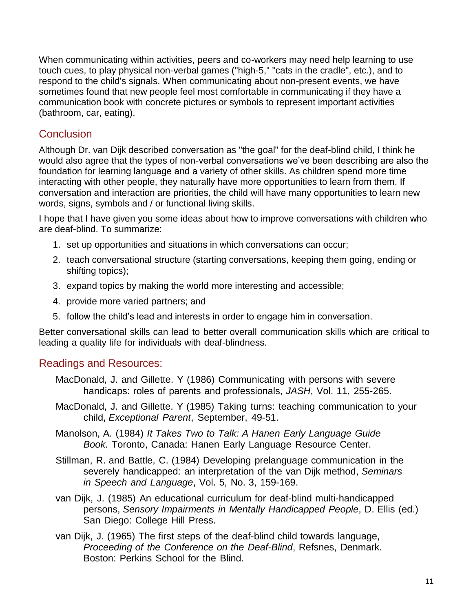When communicating within activities, peers and co-workers may need help learning to use touch cues, to play physical non-verbal games ("high-5," "cats in the cradle", etc.), and to respond to the child's signals. When communicating about non-present events, we have sometimes found that new people feel most comfortable in communicating if they have a communication book with concrete pictures or symbols to represent important activities (bathroom, car, eating).

# **Conclusion**

Although Dr. van Dijk described conversation as "the goal" for the deaf-blind child, I think he would also agree that the types of non-verbal conversations we've been describing are also the foundation for learning language and a variety of other skills. As children spend more time interacting with other people, they naturally have more opportunities to learn from them. If conversation and interaction are priorities, the child will have many opportunities to learn new words, signs, symbols and / or functional living skills.

I hope that I have given you some ideas about how to improve conversations with children who are deaf-blind. To summarize:

- 1. set up opportunities and situations in which conversations can occur;
- 2. teach conversational structure (starting conversations, keeping them going, ending or shifting topics);
- 3. expand topics by making the world more interesting and accessible;
- 4. provide more varied partners; and
- 5. follow the child's lead and interests in order to engage him in conversation.

Better conversational skills can lead to better overall communication skills which are critical to leading a quality life for individuals with deaf-blindness.

## Readings and Resources:

- MacDonald, J. and Gillette. Y (1986) Communicating with persons with severe handicaps: roles of parents and professionals, *JASH*, Vol. 11, 255-265.
- MacDonald, J. and Gillette. Y (1985) Taking turns: teaching communication to your child, *Exceptional Parent*, September, 49-51.
- Manolson, A. (1984) *It Takes Two to Talk: A Hanen Early Language Guide Book*. Toronto, Canada: Hanen Early Language Resource Center.
- Stillman, R. and Battle, C. (1984) Developing prelanguage communication in the severely handicapped: an interpretation of the van Dijk method, *Seminars in Speech and Language*, Vol. 5, No. 3, 159-169.
- van Dijk, J. (1985) An educational curriculum for deaf-blind multi-handicapped persons, *Sensory Impairments in Mentally Handicapped People*, D. Ellis (ed.) San Diego: College Hill Press.
- van Dijk, J. (1965) The first steps of the deaf-blind child towards language, *Proceeding of the Conference on the Deaf-Blind*, Refsnes, Denmark. Boston: Perkins School for the Blind.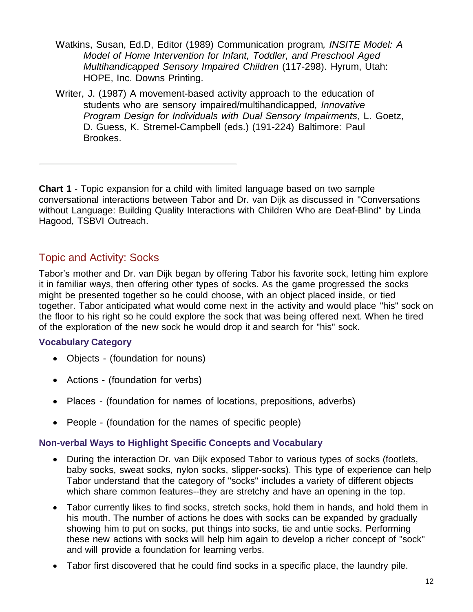- Watkins, Susan, Ed.D, Editor (1989) Communication program*, INSITE Model: A Model of Home Intervention for Infant, Toddler, and Preschool Aged Multihandicapped Sensory Impaired Children* (117-298). Hyrum, Utah: HOPE, Inc. Downs Printing.
- Writer, J. (1987) A movement-based activity approach to the education of students who are sensory impaired/multihandicapped*, Innovative Program Design for Individuals with Dual Sensory Impairments*, L. Goetz, D. Guess, K. Stremel-Campbell (eds.) (191-224) Baltimore: Paul Brookes.

**Chart 1** - Topic expansion for a child with limited language based on two sample conversational interactions between Tabor and Dr. van Dijk as discussed in "Conversations without Language: Building Quality Interactions with Children Who are Deaf-Blind" by Linda Hagood, TSBVI Outreach.

# Topic and Activity: Socks

Tabor's mother and Dr. van Dijk began by offering Tabor his favorite sock, letting him explore it in familiar ways, then offering other types of socks. As the game progressed the socks might be presented together so he could choose, with an object placed inside, or tied together. Tabor anticipated what would come next in the activity and would place "his" sock on the floor to his right so he could explore the sock that was being offered next. When he tired of the exploration of the new sock he would drop it and search for "his" sock.

## **Vocabulary Category**

- Objects (foundation for nouns)
- Actions (foundation for verbs)
- Places (foundation for names of locations, prepositions, adverbs)
- People (foundation for the names of specific people)

## **Non-verbal Ways to Highlight Specific Concepts and Vocabulary**

- During the interaction Dr. van Dijk exposed Tabor to various types of socks (footlets, baby socks, sweat socks, nylon socks, slipper-socks). This type of experience can help Tabor understand that the category of "socks" includes a variety of different objects which share common features--they are stretchy and have an opening in the top.
- Tabor currently likes to find socks, stretch socks, hold them in hands, and hold them in his mouth. The number of actions he does with socks can be expanded by gradually showing him to put on socks, put things into socks, tie and untie socks. Performing these new actions with socks will help him again to develop a richer concept of "sock" and will provide a foundation for learning verbs.
- Tabor first discovered that he could find socks in a specific place, the laundry pile.